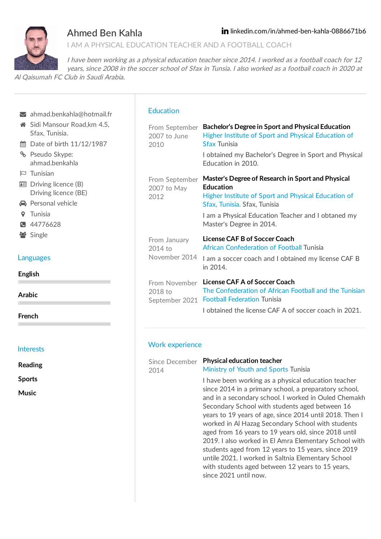

## Ahmed Ben Kahla

and in a secondary school. I worked in Ouled Chemakh Secondary School with students aged between 16 years to 19 years of age, since 2014 until 2018. Then I worked in Al Hazag Secondary School with students aged from 16 years to 19 years old, since 2018 until 2019. I also worked in El Amra Elementary School with students aged from 12 years to 15 years, since 2019 untile 2021. I worked in Saltnia Elementary School with students aged between 12 years to 15 years,

since 2021 until now.

I AM A PHYSICAL EDUCATION TEACHER AND A FOOTBALL COACH

I have been working as <sup>a</sup> physical education teacher since 2014. I worked as <sup>a</sup> football coach for 12 years, since 2008 in the soccer school of Sfax in Tunsia. I also worked as <sup>a</sup> football coach in 2020 at

Al Qaisumah FC Club in Saudi Arabia.

|                                 | ahmad.benkahla@hotmail.fr                                                                                                               | <b>Education</b>                           |                                                                                                                                                                                                                                                |
|---------------------------------|-----------------------------------------------------------------------------------------------------------------------------------------|--------------------------------------------|------------------------------------------------------------------------------------------------------------------------------------------------------------------------------------------------------------------------------------------------|
|                                 | Sidi Mansour Road, km 4.5,<br>Sfax, Tunisia.<br>th Date of birth 11/12/1987<br><sup>8</sup> Pseudo Skype:<br>ahmad.benkahla             | From September<br>2007 to June<br>2010     | Bachelor's Degree in Sport and Physical Education<br>Higher Institute of Sport and Physical Education of<br><b>Sfax Tunisia</b><br>I obtained my Bachelor's Degree in Sport and Physical<br>Education in 2010.                                 |
|                                 | $\approx$ Tunisian<br><b>B</b> Driving licence (B)<br>Driving licence (BE)<br><b>A</b> Personal vehicle<br><b>9</b> Tunisia<br>44776628 | From September<br>2007 to May<br>2012      | Master's Degree of Research in Sport and Physical<br><b>Education</b><br>Higher Institute of Sport and Physical Education of<br>Sfax, Tunisia. Sfax, Tunisia<br>I am a Physical Education Teacher and I obtaned my<br>Master's Degree in 2014. |
|                                 | Single<br>Languages                                                                                                                     | From January<br>2014 to<br>November 2014   | License CAF B of Soccer Coach<br>African Confederation of Football Tunisia<br>I am a soccer coach and I obtained my license CAF B<br>in 2014.                                                                                                  |
| <b>English</b><br><b>Arabic</b> |                                                                                                                                         | From November<br>2018 to<br>September 2021 | License CAF A of Soccer Coach<br>The Confederation of African Football and the Tunisian<br><b>Football Federation Tunisia</b>                                                                                                                  |
| <b>French</b>                   |                                                                                                                                         |                                            | I obtained the license CAF A of soccer coach in 2021.                                                                                                                                                                                          |
|                                 | <b>Interests</b>                                                                                                                        | <b>Work experience</b>                     |                                                                                                                                                                                                                                                |
| <b>Reading</b>                  |                                                                                                                                         | Since December<br>2014                     | <b>Physical education teacher</b><br>Ministry of Youth and Sports Tunisia                                                                                                                                                                      |
| <b>Sports</b><br>$\cdots$       |                                                                                                                                         |                                            | I have been working as a physical education teacher<br>since 2014 in a primary school, a preparatory school,                                                                                                                                   |

**Music**